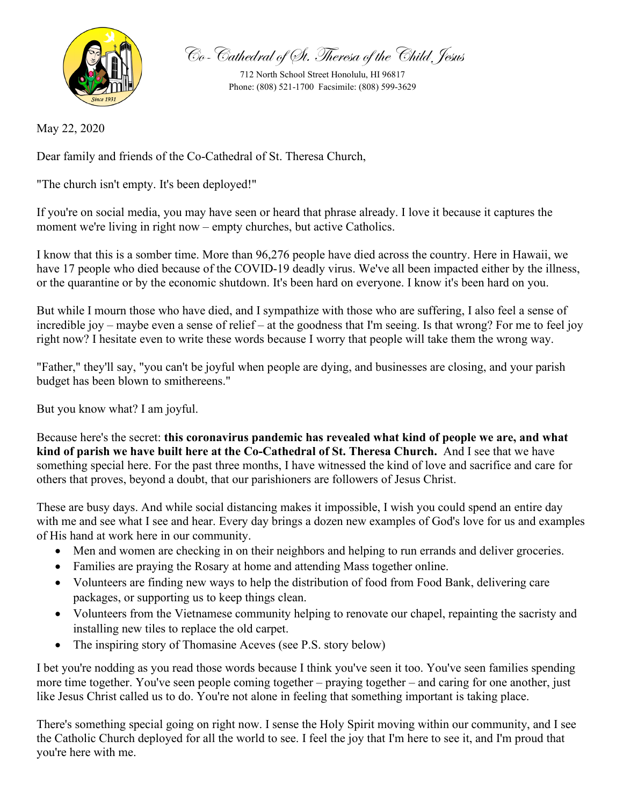

Co-Cathedral of St. Theresa of the Child Jesus

712 North School Street Honolulu, HI 96817 Phone: (808) 521-1700 Facsimile: (808) 599-3629

May 22, 2020

Dear family and friends of the Co-Cathedral of St. Theresa Church,

"The church isn't empty. It's been deployed!"

If you're on social media, you may have seen or heard that phrase already. I love it because it captures the moment we're living in right now – empty churches, but active Catholics.

I know that this is a somber time. More than 96,276 people have died across the country. Here in Hawaii, we have 17 people who died because of the COVID-19 deadly virus. We've all been impacted either by the illness, or the quarantine or by the economic shutdown. It's been hard on everyone. I know it's been hard on you.

But while I mourn those who have died, and I sympathize with those who are suffering, I also feel a sense of incredible joy – maybe even a sense of relief – at the goodness that I'm seeing. Is that wrong? For me to feel joy right now? I hesitate even to write these words because I worry that people will take them the wrong way.

"Father," they'll say, "you can't be joyful when people are dying, and businesses are closing, and your parish budget has been blown to smithereens."

But you know what? I am joyful.

Because here's the secret: **this coronavirus pandemic has revealed what kind of people we are, and what kind of parish we have built here at the Co-Cathedral of St. Theresa Church.** And I see that we have something special here. For the past three months, I have witnessed the kind of love and sacrifice and care for others that proves, beyond a doubt, that our parishioners are followers of Jesus Christ.

These are busy days. And while social distancing makes it impossible, I wish you could spend an entire day with me and see what I see and hear. Every day brings a dozen new examples of God's love for us and examples of His hand at work here in our community.

- Men and women are checking in on their neighbors and helping to run errands and deliver groceries.
- Families are praying the Rosary at home and attending Mass together online.
- Volunteers are finding new ways to help the distribution of food from Food Bank, delivering care packages, or supporting us to keep things clean.
- Volunteers from the Vietnamese community helping to renovate our chapel, repainting the sacristy and installing new tiles to replace the old carpet.
- The inspiring story of Thomasine Aceves (see P.S. story below)

I bet you're nodding as you read those words because I think you've seen it too. You've seen families spending more time together. You've seen people coming together – praying together – and caring for one another, just like Jesus Christ called us to do. You're not alone in feeling that something important is taking place.

There's something special going on right now. I sense the Holy Spirit moving within our community, and I see the Catholic Church deployed for all the world to see. I feel the joy that I'm here to see it, and I'm proud that you're here with me.